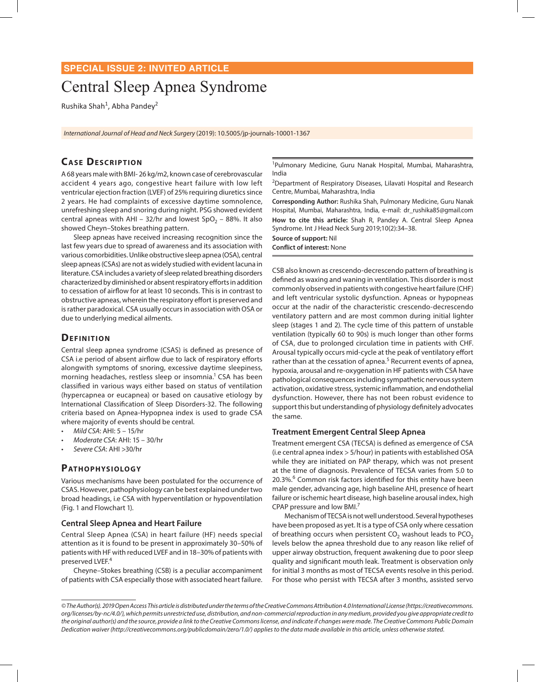# **SPECIAL ISSUE 2: INVITED ARTICLE**

# Central Sleep Apnea Syndrome

Rushika Shah<sup>1</sup>, Abha Pandey<sup>2</sup>

*International Journal of Head and Neck Surgery* (2019): 10.5005/jp-journals-10001-1367

# **CASE DESCRIPTION**

A 68 years male with BMI- 26 kg/m2, known case of cerebrovascular accident 4 years ago, congestive heart failure with low left ventricular ejection fraction (LVEF) of 25% requiring diuretics since 2 years. He had complaints of excessive daytime somnolence, unrefreshing sleep and snoring during night. PSG showed evident central apneas with AHI – 32/hr and lowest  $SpO<sub>2</sub>$  – 88%. It also showed Cheyn–Stokes breathing pattern.

Sleep apneas have received increasing recognition since the last few years due to spread of awareness and its association with various comorbidities. Unlike obstructive sleep apnea (OSA), central sleep apneas (CSAs) are not as widely studied with evident lacuna in literature. CSA includes a variety of sleep related breathing disorders characterized by diminished or absent respiratory efforts in addition to cessation of airflow for at least 10 seconds. This is in contrast to obstructive apneas, wherein the respiratory effort is preserved and is rather paradoxical. CSA usually occurs in association with OSA or due to underlying medical ailments.

# **DEFINITION**

Central sleep apnea syndrome (CSAS) is defined as presence of CSA i.e period of absent airflow due to lack of respiratory efforts alongwith symptoms of snoring, excessive daytime sleepiness, morning headaches, restless sleep or insomnia.<sup>1</sup> CSA has been classified in various ways either based on status of ventilation (hypercapnea or eucapnea) or based on causative etiology by International Classification of Sleep Disorders-32. The following criteria based on Apnea-Hypopnea index is used to grade CSA where majority of events should be central.

- *• Mild CSA*: AHI: 5 15/hr
- *• Moderate CSA*: AHI: 15 30/hr
- *• Severe CSA*: AHI >30/hr

## PATHOPHYSIOLOGY

Various mechanisms have been postulated for the occurrence of CSAS. However, pathophysiology can be best explained under two broad headings, i.e CSA with hyperventilation or hypoventilation (Fig. 1 and Flowchart 1).

#### **Central Sleep Apnea and Heart Failure**

Central Sleep Apnea (CSA) in heart failure (HF) needs special attention as it is found to be present in approximately 30–50% of patients with HF with reduced LVEF and in 18–30% of patients with preserved LVEF.<sup>4</sup>

Cheyne–Stokes breathing (CSB) is a peculiar accompaniment of patients with CSA especially those with associated heart failure.

<sup>1</sup>Pulmonary Medicine, Guru Nanak Hospital, Mumbai, Maharashtra, India

<sup>2</sup>Department of Respiratory Diseases, Lilavati Hospital and Research Centre, Mumbai, Maharashtra, India

**Corresponding Author:** Rushika Shah, Pulmonary Medicine, Guru Nanak Hospital, Mumbai, Maharashtra, India, e-mail: dr\_rushika85@gmail.com **How to cite this article:** Shah R, Pandey A. Central Sleep Apnea Syndrome. Int J Head Neck Surg 2019;10(2):34–38. **Source of support:** Nil

# **Conflict of interest:** None

CSB also known as crescendo-decrescendo pattern of breathing is defined as waxing and waning in ventilation. This disorder is most commonly observed in patients with congestive heart failure (CHF) and left ventricular systolic dysfunction. Apneas or hypopneas occur at the nadir of the characteristic crescendo-decrescendo ventilatory pattern and are most common during initial lighter sleep (stages 1 and 2). The cycle time of this pattern of unstable ventilation (typically 60 to 90s) is much longer than other forms of CSA, due to prolonged circulation time in patients with CHF. Arousal typically occurs mid-cycle at the peak of ventilatory effort rather than at the cessation of apnea.<sup>5</sup> Recurrent events of apnea, hypoxia, arousal and re-oxygenation in HF patients with CSA have pathological consequences including sympathetic nervous system activation, oxidative stress, systemic inflammation, and endothelial dysfunction. However, there has not been robust evidence to support this but understanding of physiology definitely advocates the same.

### **Treatment Emergent Central Sleep Apnea**

Treatment emergent CSA (TECSA) is defined as emergence of CSA (i.e central apnea index > 5/hour) in patients with established OSA while they are initiated on PAP therapy, which was not present at the time of diagnosis. Prevalence of TECSA varies from 5.0 to 20.3%.<sup>6</sup> Common risk factors identified for this entity have been male gender, advancing age, high baseline AHI, presence of heart failure or ischemic heart disease, high baseline arousal index, high CPAP pressure and low BMI.7

Mechanism of TECSA is not well understood. Several hypotheses have been proposed as yet. It is a type of CSA only where cessation of breathing occurs when persistent  $CO<sub>2</sub>$  washout leads to PCO<sub>2</sub> levels below the apnea threshold due to any reason like relief of upper airway obstruction, frequent awakening due to poor sleep quality and significant mouth leak. Treatment is observation only for initial 3 months as most of TECSA events resolve in this period. For those who persist with TECSA after 3 months, assisted servo

*<sup>©</sup> The Author(s). 2019 Open Access This article is distributed under the terms of the Creative Commons Attribution 4.0 International License (https://creativecommons. org/licenses/by-nc/4.0/), which permits unrestricted use, distribution, and non-commercial reproduction in any medium, provided you give appropriate credit to the original author(s) and the source, provide a link to the Creative Commons license, and indicate if changes were made. The Creative Commons Public Domain Dedication waiver (http://creativecommons.org/publicdomain/zero/1.0/) applies to the data made available in this article, unless otherwise stated.*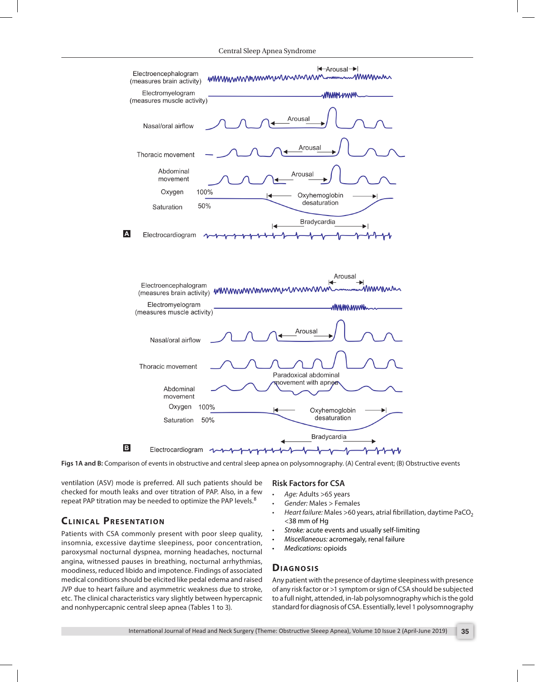Central Sleep Apnea Syndrome



Figs 1A and B: Comparison of events in obstructive and central sleep apnea on polysomnography. (A) Central event; (B) Obstructive events

ventilation (ASV) mode is preferred. All such patients should be checked for mouth leaks and over titration of PAP. Also, in a few repeat PAP titration may be needed to optimize the PAP levels.<sup>8</sup>

# **CLINICAL PRESENTATION**

Patients with CSA commonly present with poor sleep quality, insomnia, excessive daytime sleepiness, poor concentration, paroxysmal nocturnal dyspnea, morning headaches, nocturnal angina, witnessed pauses in breathing, nocturnal arrhythmias, moodiness, reduced libido and impotence. Findings of associated medical conditions should be elicited like pedal edema and raised JVP due to heart failure and asymmetric weakness due to stroke, etc. The clinical characteristics vary slightly between hypercapnic and nonhypercapnic central sleep apnea (Tables 1 to 3).

#### **Risk Factors for CSA**

- *Age:* Adults >65 years
- *Gender:* Males > Females
- *Heart failure:* Males >60 years, atrial fibrillation, daytime PaCO<sub>2</sub> <38 mm of Hg
- *Stroke:* acute events and usually self-limiting
- *Miscellaneous:* acromegaly, renal failure
- *Medications:* opioids

#### **DIAGNOSIS**

Any patient with the presence of daytime sleepiness with presence of any risk factor or >1 symptom or sign of CSA should be subjected to a full night, attended, in-lab polysomnography which is the gold standard for diagnosis of CSA. Essentially, level 1 polysomnography

International Journal of Head and Neck Surgery (Theme: Obstructive Sleeep Apnea), Volume 10 Issue 2 (April-June 2019) **35**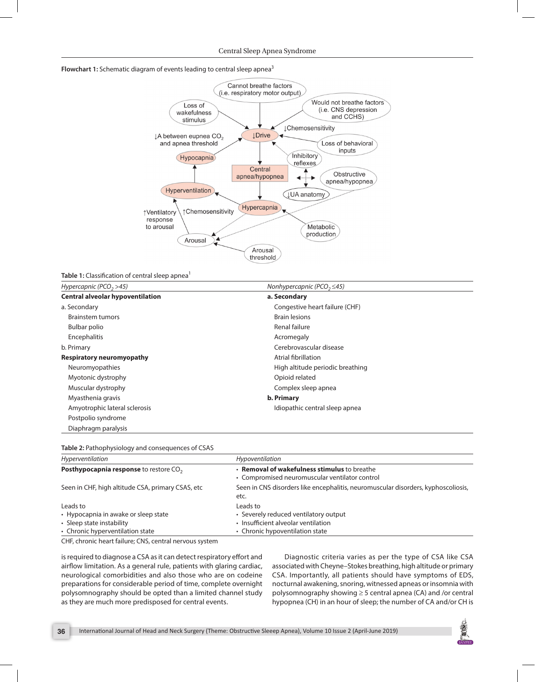## Flowchart 1: Schematic diagram of events leading to central sleep apnea<sup>3</sup>



Table 1: Classification of central sleep apnea<sup>1</sup>

| Hypercapnic (PCO <sub>2</sub> >45)      | Nonhypercapnic (PCO, $\leq$ 45)  |  |
|-----------------------------------------|----------------------------------|--|
| <b>Central alveolar hypoventilation</b> | a. Secondary                     |  |
| a. Secondary                            | Congestive heart failure (CHF)   |  |
| Brainstem tumors                        | <b>Brain lesions</b>             |  |
| Bulbar polio                            | Renal failure                    |  |
| Encephalitis                            | Acromegaly                       |  |
| b. Primary                              | Cerebrovascular disease          |  |
| Respiratory neuromyopathy               | Atrial fibrillation              |  |
| Neuromyopathies                         | High altitude periodic breathing |  |
| Myotonic dystrophy                      | Opioid related                   |  |
| Muscular dystrophy                      | Complex sleep apnea              |  |
| Myasthenia gravis                       | b. Primary                       |  |
| Amyotrophic lateral sclerosis           | Idiopathic central sleep apnea   |  |
| Postpolio syndrome                      |                                  |  |
| Diaphragm paralysis                     |                                  |  |

#### **Table 2:** Pathophysiology and consequences of CSAS

| Hyperventilation                                   | Hypoventilation<br>• Removal of wakefulness stimulus to breathe<br>• Compromised neuromuscular ventilator control |  |
|----------------------------------------------------|-------------------------------------------------------------------------------------------------------------------|--|
| Posthypocapnia response to restore CO <sub>2</sub> |                                                                                                                   |  |
| Seen in CHF, high altitude CSA, primary CSAS, etc  | Seen in CNS disorders like encephalitis, neuromuscular disorders, kyphoscoliosis,<br>etc.                         |  |
| Leads to                                           | Leads to                                                                                                          |  |
| • Hypocapnia in awake or sleep state               | • Severely reduced ventilatory output                                                                             |  |
| • Sleep state instability                          | • Insufficient alveolar ventilation                                                                               |  |
| • Chronic hyperventilation state                   | • Chronic hypoventilation state                                                                                   |  |

CHF, chronic heart failure; CNS, central nervous system

is required to diagnose a CSA as it can detect respiratory effort and airflow limitation. As a general rule, patients with glaring cardiac, neurological comorbidities and also those who are on codeine preparations for considerable period of time, complete overnight polysomnography should be opted than a limited channel study as they are much more predisposed for central events.

Diagnostic criteria varies as per the type of CSA like CSA associated with Cheyne–Stokes breathing, high altitude or primary CSA. Importantly, all patients should have symptoms of EDS, nocturnal awakening, snoring, witnessed apneas or insomnia with polysomnography showing ≥ 5 central apnea (CA) and /or central hypopnea (CH) in an hour of sleep; the number of CA and/or CH is

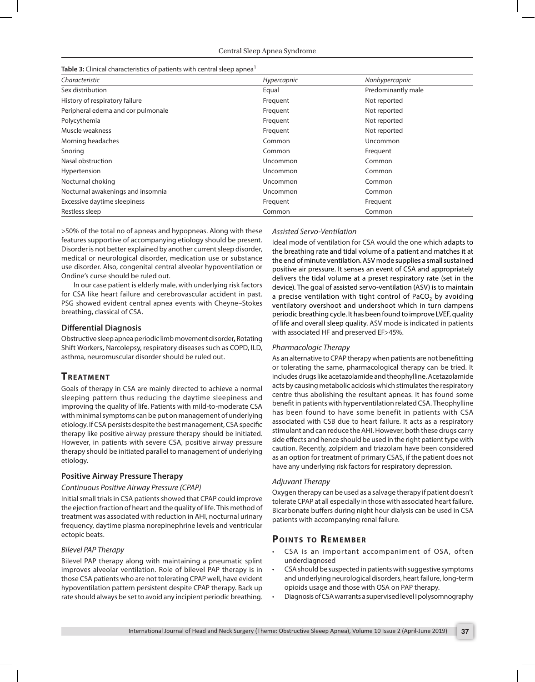| Characteristic                     | Hypercapnic | Nonhypercapnic     |
|------------------------------------|-------------|--------------------|
| Sex distribution                   | Equal       | Predominantly male |
| History of respiratory failure     | Frequent    | Not reported       |
| Peripheral edema and cor pulmonale | Frequent    | Not reported       |
| Polycythemia                       | Frequent    | Not reported       |
| Muscle weakness                    | Frequent    | Not reported       |
| Morning headaches                  | Common      | Uncommon           |
| Snoring                            | Common      | Frequent           |
| Nasal obstruction                  | Uncommon    | Common             |
| Hypertension                       | Uncommon    | Common             |
| Nocturnal choking                  | Uncommon    | Common             |
| Nocturnal awakenings and insomnia  | Uncommon    | Common             |
| Excessive daytime sleepiness       | Frequent    | Frequent           |
| Restless sleep                     | Common      | Common             |

>50% of the total no of apneas and hypopneas. Along with these features supportive of accompanying etiology should be present. Disorder is not better explained by another current sleep disorder, medical or neurological disorder, medication use or substance use disorder. Also, congenital central alveolar hypoventilation or Ondine's curse should be ruled out.

In our case patient is elderly male, with underlying risk factors for CSA like heart failure and cerebrovascular accident in past. PSG showed evident central apnea events with Cheyne–Stokes breathing, classical of CSA.

#### **Differential Diagnosis**

Obstructive sleep apneaperiodic limb movement disorder**,** Rotating Shift Workers**,** Narcolepsy, respiratory diseases such as COPD, ILD, asthma, neuromuscular disorder should be ruled out.

# **TREATMENT**

Goals of therapy in CSA are mainly directed to achieve a normal sleeping pattern thus reducing the daytime sleepiness and improving the quality of life. Patients with mild-to-moderate CSA with minimal symptoms can be put on management of underlying etiology. If CSA persists despite the best management, CSA specific therapy like positive airway pressure therapy should be initiated. However, in patients with severe CSA, positive airway pressure therapy should be initiated parallel to management of underlying etiology.

## **Positive Airway Pressure Therapy**

#### *Continuous Positive Airway Pressure (CPAP)*

Initial small trials in CSA patients showed that CPAP could improve the ejection fraction of heart and the quality of life. This method of treatment was associated with reduction in AHI, nocturnal urinary frequency, daytime plasma norepinephrine levels and ventricular ectopic beats.

#### *Bilevel PAP Therapy*

Bilevel PAP therapy along with maintaining a pneumatic splint improves alveolar ventilation. Role of bilevel PAP therapy is in those CSA patients who are not tolerating CPAP well, have evident hypoventilation pattern persistent despite CPAP therapy. Back up rate should always be set to avoid any incipient periodic breathing.

#### *Assisted Servo-Ventilation*

Ideal mode of ventilation for CSA would the one which adapts to the breathing rate and tidal volume of a patient and matches it at the end of minute ventilation. ASV mode supplies a small sustained positive air pressure. It senses an event of CSA and appropriately delivers the tidal volume at a preset respiratory rate (set in the device). The goal of assisted servo-ventilation (ASV) is to maintain a precise ventilation with tight control of PaCO<sub>2</sub> by avoiding ventilatory overshoot and undershoot which in turn dampens periodic breathing cycle. It has been found to improve LVEF, quality of life and overall sleep quality. ASV mode is indicated in patients with associated HF and preserved EF>45%.

#### *Pharmacologic Therapy*

As an alternative to CPAP therapy when patients are not benefitting or tolerating the same, pharmacological therapy can be tried. It includes drugs like acetazolamide and theophylline. Acetazolamide acts by causing metabolic acidosis which stimulates the respiratory centre thus abolishing the resultant apneas. It has found some benefit in patients with hyperventilation related CSA. Theophylline has been found to have some benefit in patients with CSA associated with CSB due to heart failure. It acts as a respiratory stimulant and can reduce the AHI. However, both these drugs carry side effects and hence should be used in the right patient type with caution. Recently, zolpidem and triazolam have been considered as an option for treatment of primary CSAS, if the patient does not have any underlying risk factors for respiratory depression.

#### *Adjuvant Therapy*

Oxygen therapy can be used as a salvage therapy if patient doesn't tolerate CPAP at all especially in those with associated heart failure. Bicarbonate buffers during night hour dialysis can be used in CSA patients with accompanying renal failure.

# **POINTS TO REMEMBER**

- CSA is an important accompaniment of OSA, often underdiagnosed
- CSA should be suspected in patients with suggestive symptoms and underlying neurological disorders, heart failure, long-term opioids usage and those with OSA on PAP therapy.
- Diagnosis of CSA warrants a supervised level I polysomnography